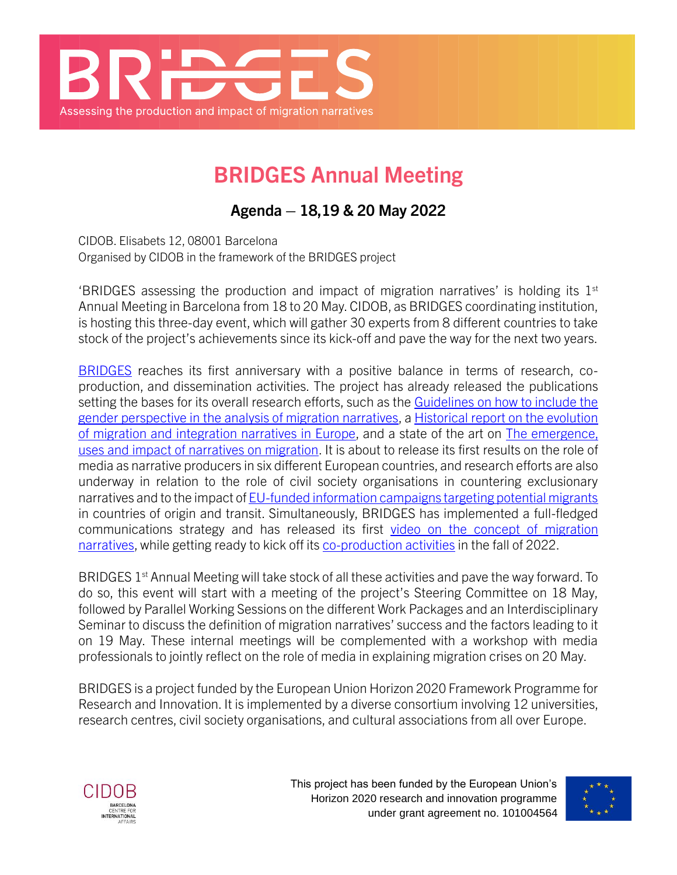

# **BRIDGES Annual Meeting**

**Agenda – 18,19 & 20 May 2022**

CIDOB. Elisabets 12, 08001 Barcelona Organised by CIDOB in the framework of the BRIDGES project

'BRIDGES assessing the production and impact of migration narratives' is holding its  $1<sup>st</sup>$ Annual Meeting in Barcelona from 18 to 20 May. CIDOB, as BRIDGES coordinating institution, is hosting this three-day event, which will gather 30 experts from 8 different countries to take stock of the project's achievements since its kick-off and pave the way for the next two years.

[BRIDGES](https://www.bridges-migration.eu/) reaches its first anniversary with a positive balance in terms of research, coproduction, and dissemination activities. The project has already released the publications setting the bases for its overall research efforts, such as the Guidelines on how to include the [gender perspective in the analysis of migration narratives,](https://www.bridges-migration.eu/publications/guidelines-on-how-to-include-the-gender-perspective-in-the-analysis-of-migration-narratives/) a [Historical report on the evolution](https://www.bridges-migration.eu/publications/historical-analysis-on-the-evolution-of-migration-and-integration-narratives/)  [of migration and integration narratives in Europe,](https://www.bridges-migration.eu/publications/historical-analysis-on-the-evolution-of-migration-and-integration-narratives/) and a state of the art on [The emergence,](https://www.bridges-migration.eu/publications/the-emergence-uses-and-impacts-of-narratives-on-migration/)  [uses and impact of narratives on migration.](https://www.bridges-migration.eu/publications/the-emergence-uses-and-impacts-of-narratives-on-migration/) It is about to release its first results on the role of media as narrative producers in six different European countries, and research efforts are also underway in relation to the role of civil society organisations in countering exclusionary narratives and to the impact o[f EU-funded information campaigns targeting potential migrants](https://www.bridges-migration.eu/publications/eu-funded-information-campaigns-targeting-potential-migrants/) in countries of origin and transit. Simultaneously, BRIDGES has implemented a full-fledged communications strategy and has released its first [video on the concept of migration](https://www.bridges-migration.eu/multimedia/bridging-the-gaps-in-the-study-of-migration-narratives/)  [narratives,](https://www.bridges-migration.eu/multimedia/bridging-the-gaps-in-the-study-of-migration-narratives/) while getting ready to kick off its [co-production activities](https://www.bridges-migration.eu/work-package-9-co-production/) in the fall of 2022.

BRIDGES  $1<sup>st</sup>$  Annual Meeting will take stock of all these activities and pave the way forward. To do so, this event will start with a meeting of the project's Steering Committee on 18 May, followed by Parallel Working Sessions on the different Work Packages and an Interdisciplinary Seminar to discuss the definition of migration narratives' success and the factors leading to it on 19 May. These internal meetings will be complemented with a workshop with media professionals to jointly reflect on the role of media in explaining migration crises on 20 May.

BRIDGES is a project funded by the European Union Horizon 2020 Framework Programme for Research and Innovation. It is implemented by a diverse consortium involving 12 universities, research centres, civil society organisations, and cultural associations from all over Europe.



This project has been funded by the European Union's Horizon 2020 research and innovation programme under grant agreement no. 101004564

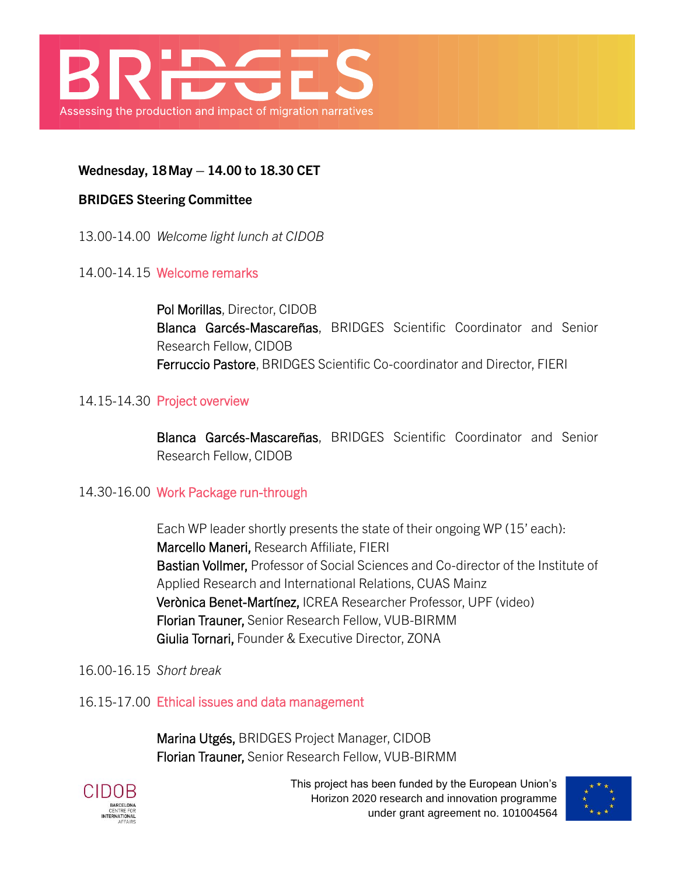

## **Wednesday, 18May – 14.00 to 18.30 CET**

#### **BRIDGES Steering Committee**

13.00-14.00 *Welcome light lunch at CIDOB*

#### 14.00-14.15 Welcome remarks

Pol Morillas, Director, CIDOB Blanca Garcés-Mascareñas, BRIDGES Scientific Coordinator and Senior Research Fellow, CIDOB Ferruccio Pastore, BRIDGES Scientific Co-coordinator and Director, FIERI

#### 14.15-14.30 Project overview

Blanca Garcés-Mascareñas, BRIDGES Scientific Coordinator and Senior Research Fellow, CIDOB

#### 14.30-16.00 Work Package run-through

Each WP leader shortly presents the state of their ongoing WP (15' each): Marcello Maneri, Research Affiliate, FIERI Bastian Vollmer, Professor of Social Sciences and Co-director of the Institute of Applied Research and International Relations, CUAS Mainz Verònica Benet-Martínez, ICREA Researcher Professor, UPF (video) Florian Trauner, Senior Research Fellow, VUB-BIRMM Giulia Tornari, Founder & Executive Director, ZONA

#### 16.00-16.15 *Short break*

16.15-17.00 Ethical issues and data management

Marina Utgés, BRIDGES Project Manager, CIDOB Florian Trauner, Senior Research Fellow, VUB-BIRMM



This project has been funded by the European Union's Horizon 2020 research and innovation programme under grant agreement no. 101004564

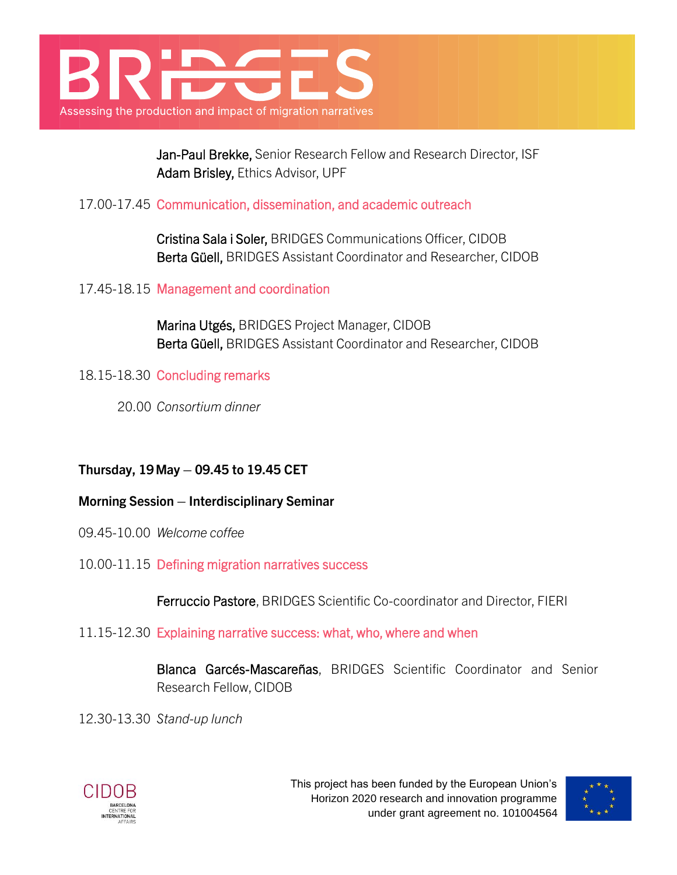

Jan-Paul Brekke, Senior Research Fellow and Research Director, ISF Adam Brisley, Ethics Advisor, UPF

## 17.00-17.45 Communication, dissemination, and academic outreach

Cristina Sala i Soler, BRIDGES Communications Officer, CIDOB Berta Güell, BRIDGES Assistant Coordinator and Researcher, CIDOB

17.45-18.15 Management and coordination

Marina Utgés, BRIDGES Project Manager, CIDOB Berta Güell, BRIDGES Assistant Coordinator and Researcher, CIDOB

18.15-18.30 Concluding remarks

20.00 *Consortium dinner*

# **Thursday, 19May – 09.45 to 19.45 CET**

**Morning Session – Interdisciplinary Seminar**

- 09.45-10.00 *Welcome coffee*
- 10.00-11.15 Defining migration narratives success

Ferruccio Pastore, BRIDGES Scientific Co-coordinator and Director, FIERI

11.15-12.30 Explaining narrative success: what, who, where and when

Blanca Garcés-Mascareñas, BRIDGES Scientific Coordinator and Senior Research Fellow, CIDOB

12.30-13.30 *Stand-up lunch*



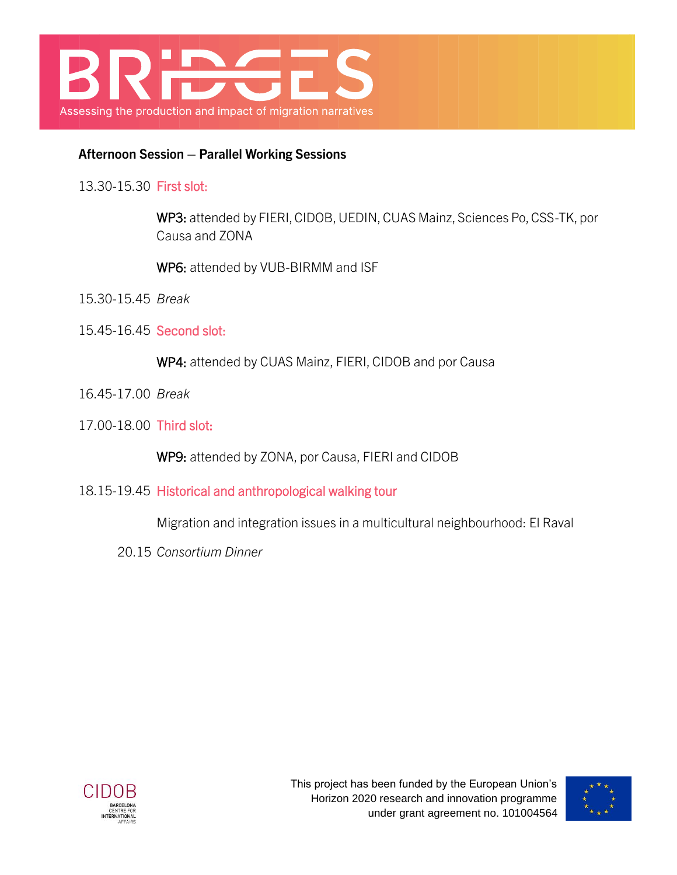

## **Afternoon Session – Parallel Working Sessions**

13.30-15.30 First slot:

WP3: attended by FIERI, CIDOB, UEDIN, CUAS Mainz, Sciences Po, CSS-TK, por Causa and ZONA

WP6: attended by VUB-BIRMM and ISF

- 15.30-15.45 *Break*
- 15.45-16.45 Second slot:

WP4: attended by CUAS Mainz, FIERI, CIDOB and por Causa

- 16.45-17.00 *Break*
- 17.00-18.00 Third slot:

WP9: attended by ZONA, por Causa, FIERI and CIDOB

18.15-19.45 Historical and anthropological walking tour

Migration and integration issues in a multicultural neighbourhood: El Raval

20.15 *Consortium Dinner*